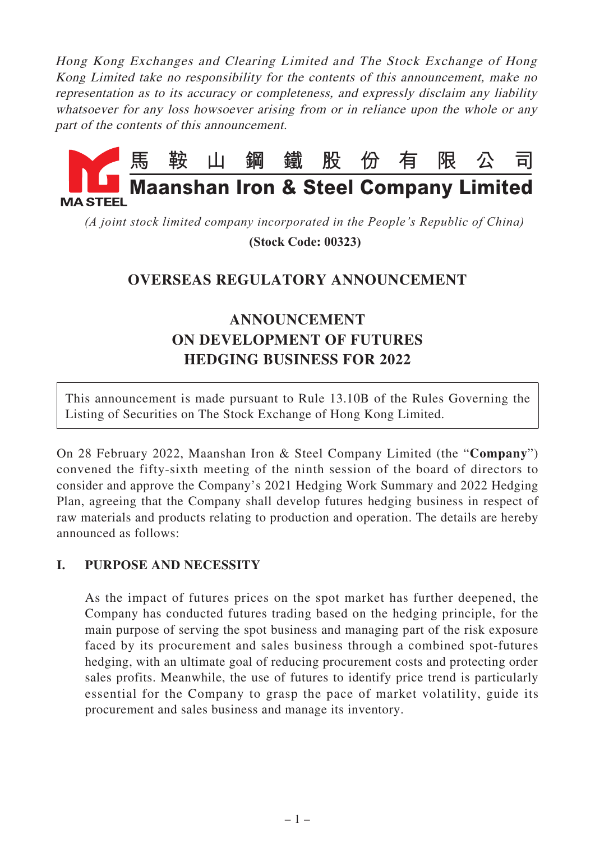Hong Kong Exchanges and Clearing Limited and The Stock Exchange of Hong Kong Limited take no responsibility for the contents of this announcement, make no representation as to its accuracy or completeness, and expressly disclaim any liability whatsoever for any loss howsoever arising from or in reliance upon the whole or any part of the contents of this announcement.



*(A joint stock limited company incorporated in the People's Republic of China)*

 **(Stock Code: 00323)**

## **OVERSEAS REGULATORY ANNOUNCEMENT**

# **ANNOUNCEMENT ON DEVELOPMENT OF FUTURES HEDGING BUSINESS FOR 2022**

This announcement is made pursuant to Rule 13.10B of the Rules Governing the Listing of Securities on The Stock Exchange of Hong Kong Limited.

On 28 February 2022, Maanshan Iron & Steel Company Limited (the "**Company**") convened the fifty-sixth meeting of the ninth session of the board of directors to consider and approve the Company's 2021 Hedging Work Summary and 2022 Hedging Plan, agreeing that the Company shall develop futures hedging business in respect of raw materials and products relating to production and operation. The details are hereby announced as follows:

## **I. PURPOSE AND NECESSITY**

As the impact of futures prices on the spot market has further deepened, the Company has conducted futures trading based on the hedging principle, for the main purpose of serving the spot business and managing part of the risk exposure faced by its procurement and sales business through a combined spot-futures hedging, with an ultimate goal of reducing procurement costs and protecting order sales profits. Meanwhile, the use of futures to identify price trend is particularly essential for the Company to grasp the pace of market volatility, guide its procurement and sales business and manage its inventory.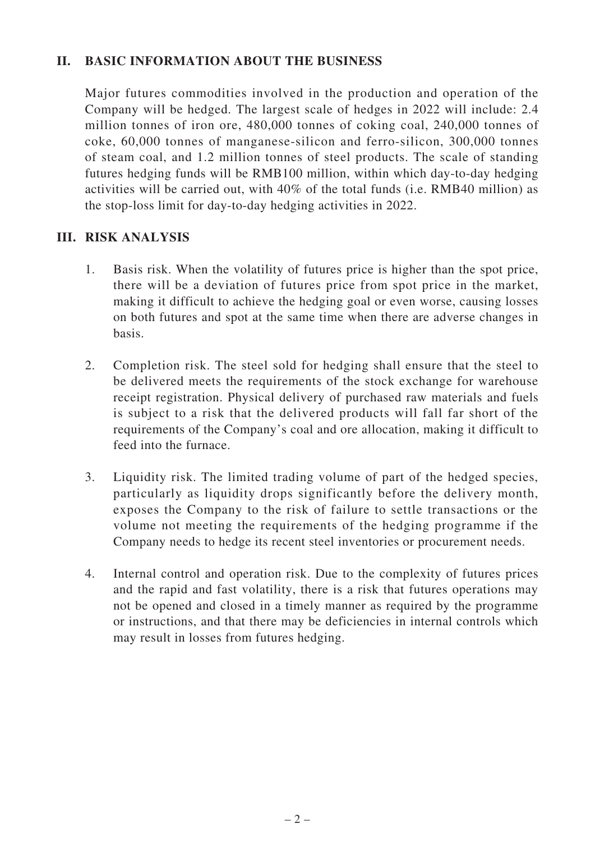#### **II. BASIC INFORMATION ABOUT THE BUSINESS**

Major futures commodities involved in the production and operation of the Company will be hedged. The largest scale of hedges in 2022 will include: 2.4 million tonnes of iron ore, 480,000 tonnes of coking coal, 240,000 tonnes of coke, 60,000 tonnes of manganese-silicon and ferro-silicon, 300,000 tonnes of steam coal, and 1.2 million tonnes of steel products. The scale of standing futures hedging funds will be RMB100 million, within which day-to-day hedging activities will be carried out, with 40% of the total funds (i.e. RMB40 million) as the stop-loss limit for day-to-day hedging activities in 2022.

#### **III. RISK ANALYSIS**

- 1. Basis risk. When the volatility of futures price is higher than the spot price, there will be a deviation of futures price from spot price in the market, making it difficult to achieve the hedging goal or even worse, causing losses on both futures and spot at the same time when there are adverse changes in basis.
- 2. Completion risk. The steel sold for hedging shall ensure that the steel to be delivered meets the requirements of the stock exchange for warehouse receipt registration. Physical delivery of purchased raw materials and fuels is subject to a risk that the delivered products will fall far short of the requirements of the Company's coal and ore allocation, making it difficult to feed into the furnace.
- 3. Liquidity risk. The limited trading volume of part of the hedged species, particularly as liquidity drops significantly before the delivery month, exposes the Company to the risk of failure to settle transactions or the volume not meeting the requirements of the hedging programme if the Company needs to hedge its recent steel inventories or procurement needs.
- 4. Internal control and operation risk. Due to the complexity of futures prices and the rapid and fast volatility, there is a risk that futures operations may not be opened and closed in a timely manner as required by the programme or instructions, and that there may be deficiencies in internal controls which may result in losses from futures hedging.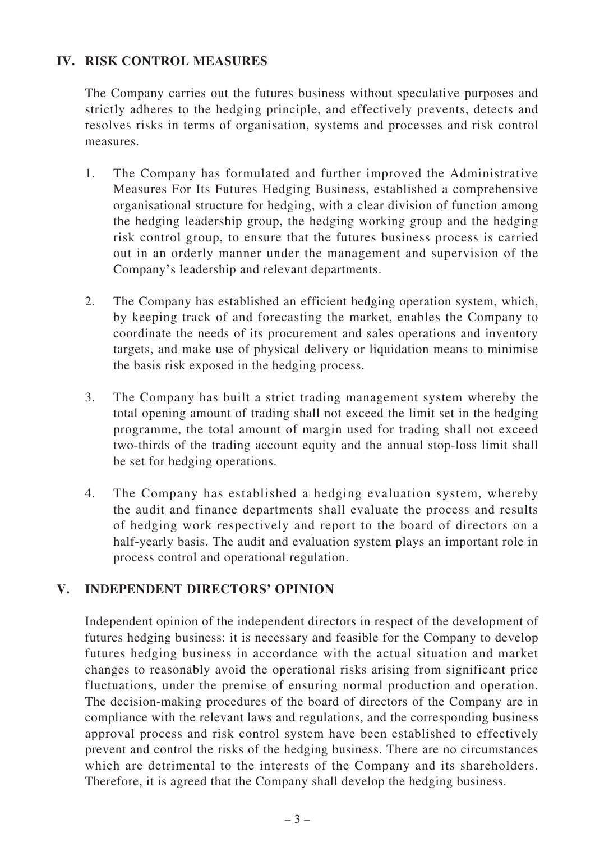## **IV. RISK CONTROL MEASURES**

The Company carries out the futures business without speculative purposes and strictly adheres to the hedging principle, and effectively prevents, detects and resolves risks in terms of organisation, systems and processes and risk control measures.

- 1. The Company has formulated and further improved the Administrative Measures For Its Futures Hedging Business, established a comprehensive organisational structure for hedging, with a clear division of function among the hedging leadership group, the hedging working group and the hedging risk control group, to ensure that the futures business process is carried out in an orderly manner under the management and supervision of the Company's leadership and relevant departments.
- 2. The Company has established an efficient hedging operation system, which, by keeping track of and forecasting the market, enables the Company to coordinate the needs of its procurement and sales operations and inventory targets, and make use of physical delivery or liquidation means to minimise the basis risk exposed in the hedging process.
- 3. The Company has built a strict trading management system whereby the total opening amount of trading shall not exceed the limit set in the hedging programme, the total amount of margin used for trading shall not exceed two-thirds of the trading account equity and the annual stop-loss limit shall be set for hedging operations.
- 4. The Company has established a hedging evaluation system, whereby the audit and finance departments shall evaluate the process and results of hedging work respectively and report to the board of directors on a half-yearly basis. The audit and evaluation system plays an important role in process control and operational regulation.

## **V. INDEPENDENT DIRECTORS' OPINION**

Independent opinion of the independent directors in respect of the development of futures hedging business: it is necessary and feasible for the Company to develop futures hedging business in accordance with the actual situation and market changes to reasonably avoid the operational risks arising from significant price fluctuations, under the premise of ensuring normal production and operation. The decision-making procedures of the board of directors of the Company are in compliance with the relevant laws and regulations, and the corresponding business approval process and risk control system have been established to effectively prevent and control the risks of the hedging business. There are no circumstances which are detrimental to the interests of the Company and its shareholders. Therefore, it is agreed that the Company shall develop the hedging business.